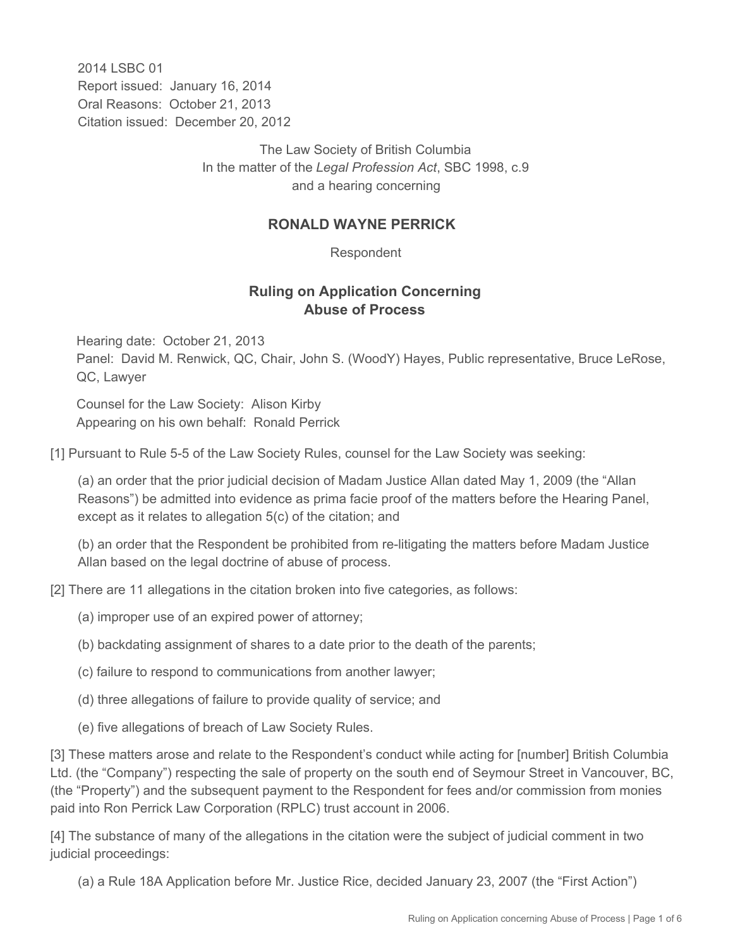2014 LSBC 01 Report issued: January 16, 2014 Oral Reasons: October 21, 2013 Citation issued: December 20, 2012

> The Law Society of British Columbia In the matter of the *Legal Profession Act*, SBC 1998, c.9 and a hearing concerning

## **RONALD WAYNE PERRICK**

Respondent

## **Ruling on Application Concerning Abuse of Process**

Hearing date: October 21, 2013 Panel: David M. Renwick, QC, Chair, John S. (WoodY) Hayes, Public representative, Bruce LeRose, QC, Lawyer

Counsel for the Law Society: Alison Kirby Appearing on his own behalf: Ronald Perrick

[1] Pursuant to Rule 5-5 of the Law Society Rules, counsel for the Law Society was seeking:

(a) an order that the prior judicial decision of Madam Justice Allan dated May 1, 2009 (the "Allan Reasons") be admitted into evidence as prima facie proof of the matters before the Hearing Panel, except as it relates to allegation 5(c) of the citation; and

(b) an order that the Respondent be prohibited from re-litigating the matters before Madam Justice Allan based on the legal doctrine of abuse of process.

- [2] There are 11 allegations in the citation broken into five categories, as follows:
	- (a) improper use of an expired power of attorney;
	- (b) backdating assignment of shares to a date prior to the death of the parents;
	- (c) failure to respond to communications from another lawyer;
	- (d) three allegations of failure to provide quality of service; and
	- (e) five allegations of breach of Law Society Rules.

[3] These matters arose and relate to the Respondent's conduct while acting for [number] British Columbia Ltd. (the "Company") respecting the sale of property on the south end of Seymour Street in Vancouver, BC, (the "Property") and the subsequent payment to the Respondent for fees and/or commission from monies paid into Ron Perrick Law Corporation (RPLC) trust account in 2006.

[4] The substance of many of the allegations in the citation were the subject of judicial comment in two judicial proceedings:

(a) a Rule 18A Application before Mr. Justice Rice, decided January 23, 2007 (the "First Action")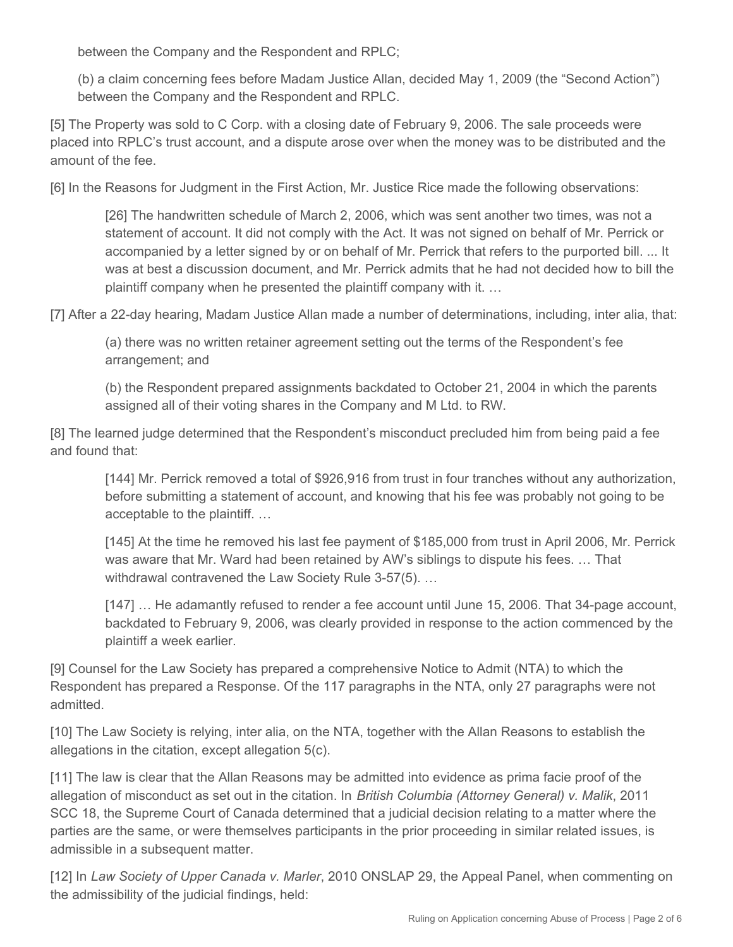between the Company and the Respondent and RPLC;

(b) a claim concerning fees before Madam Justice Allan, decided May 1, 2009 (the "Second Action") between the Company and the Respondent and RPLC.

[5] The Property was sold to C Corp. with a closing date of February 9, 2006. The sale proceeds were placed into RPLC's trust account, and a dispute arose over when the money was to be distributed and the amount of the fee.

[6] In the Reasons for Judgment in the First Action, Mr. Justice Rice made the following observations:

[26] The handwritten schedule of March 2, 2006, which was sent another two times, was not a statement of account. It did not comply with the Act. It was not signed on behalf of Mr. Perrick or accompanied by a letter signed by or on behalf of Mr. Perrick that refers to the purported bill. ... It was at best a discussion document, and Mr. Perrick admits that he had not decided how to bill the plaintiff company when he presented the plaintiff company with it. …

[7] After a 22-day hearing, Madam Justice Allan made a number of determinations, including, inter alia, that:

(a) there was no written retainer agreement setting out the terms of the Respondent's fee arrangement; and

(b) the Respondent prepared assignments backdated to October 21, 2004 in which the parents assigned all of their voting shares in the Company and M Ltd. to RW.

[8] The learned judge determined that the Respondent's misconduct precluded him from being paid a fee and found that:

[144] Mr. Perrick removed a total of \$926,916 from trust in four tranches without any authorization, before submitting a statement of account, and knowing that his fee was probably not going to be acceptable to the plaintiff. …

[145] At the time he removed his last fee payment of \$185,000 from trust in April 2006, Mr. Perrick was aware that Mr. Ward had been retained by AW's siblings to dispute his fees. … That withdrawal contravened the Law Society Rule 3-57(5). …

[147] ... He adamantly refused to render a fee account until June 15, 2006. That 34-page account, backdated to February 9, 2006, was clearly provided in response to the action commenced by the plaintiff a week earlier.

[9] Counsel for the Law Society has prepared a comprehensive Notice to Admit (NTA) to which the Respondent has prepared a Response. Of the 117 paragraphs in the NTA, only 27 paragraphs were not admitted.

[10] The Law Society is relying, inter alia, on the NTA, together with the Allan Reasons to establish the allegations in the citation, except allegation 5(c).

[11] The law is clear that the Allan Reasons may be admitted into evidence as prima facie proof of the allegation of misconduct as set out in the citation. In *British Columbia (Attorney General) v. Malik*, 2011 SCC 18, the Supreme Court of Canada determined that a judicial decision relating to a matter where the parties are the same, or were themselves participants in the prior proceeding in similar related issues, is admissible in a subsequent matter.

[12] In *Law Society of Upper Canada v. Marler*, 2010 ONSLAP 29, the Appeal Panel, when commenting on the admissibility of the judicial findings, held: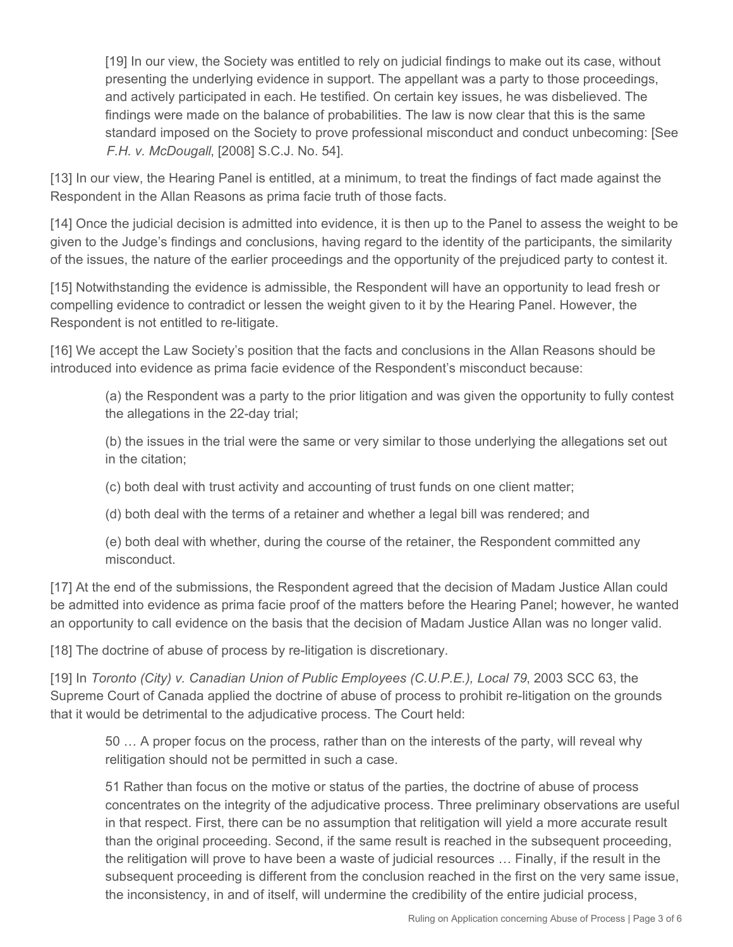[19] In our view, the Society was entitled to rely on judicial findings to make out its case, without presenting the underlying evidence in support. The appellant was a party to those proceedings, and actively participated in each. He testified. On certain key issues, he was disbelieved. The findings were made on the balance of probabilities. The law is now clear that this is the same standard imposed on the Society to prove professional misconduct and conduct unbecoming: [See *F.H. v. McDougall*, [2008] S.C.J. No. 54].

[13] In our view, the Hearing Panel is entitled, at a minimum, to treat the findings of fact made against the Respondent in the Allan Reasons as prima facie truth of those facts.

[14] Once the judicial decision is admitted into evidence, it is then up to the Panel to assess the weight to be given to the Judge's findings and conclusions, having regard to the identity of the participants, the similarity of the issues, the nature of the earlier proceedings and the opportunity of the prejudiced party to contest it.

[15] Notwithstanding the evidence is admissible, the Respondent will have an opportunity to lead fresh or compelling evidence to contradict or lessen the weight given to it by the Hearing Panel. However, the Respondent is not entitled to re-litigate.

[16] We accept the Law Society's position that the facts and conclusions in the Allan Reasons should be introduced into evidence as prima facie evidence of the Respondent's misconduct because:

(a) the Respondent was a party to the prior litigation and was given the opportunity to fully contest the allegations in the 22-day trial;

(b) the issues in the trial were the same or very similar to those underlying the allegations set out in the citation;

(c) both deal with trust activity and accounting of trust funds on one client matter;

(d) both deal with the terms of a retainer and whether a legal bill was rendered; and

(e) both deal with whether, during the course of the retainer, the Respondent committed any misconduct.

[17] At the end of the submissions, the Respondent agreed that the decision of Madam Justice Allan could be admitted into evidence as prima facie proof of the matters before the Hearing Panel; however, he wanted an opportunity to call evidence on the basis that the decision of Madam Justice Allan was no longer valid.

[18] The doctrine of abuse of process by re-litigation is discretionary.

[19] In *Toronto (City) v. Canadian Union of Public Employees (C.U.P.E.), Local 79*, 2003 SCC 63, the Supreme Court of Canada applied the doctrine of abuse of process to prohibit re-litigation on the grounds that it would be detrimental to the adjudicative process. The Court held:

50 … A proper focus on the process, rather than on the interests of the party, will reveal why relitigation should not be permitted in such a case.

51 Rather than focus on the motive or status of the parties, the doctrine of abuse of process concentrates on the integrity of the adjudicative process. Three preliminary observations are useful in that respect. First, there can be no assumption that relitigation will yield a more accurate result than the original proceeding. Second, if the same result is reached in the subsequent proceeding, the relitigation will prove to have been a waste of judicial resources … Finally, if the result in the subsequent proceeding is different from the conclusion reached in the first on the very same issue, the inconsistency, in and of itself, will undermine the credibility of the entire judicial process,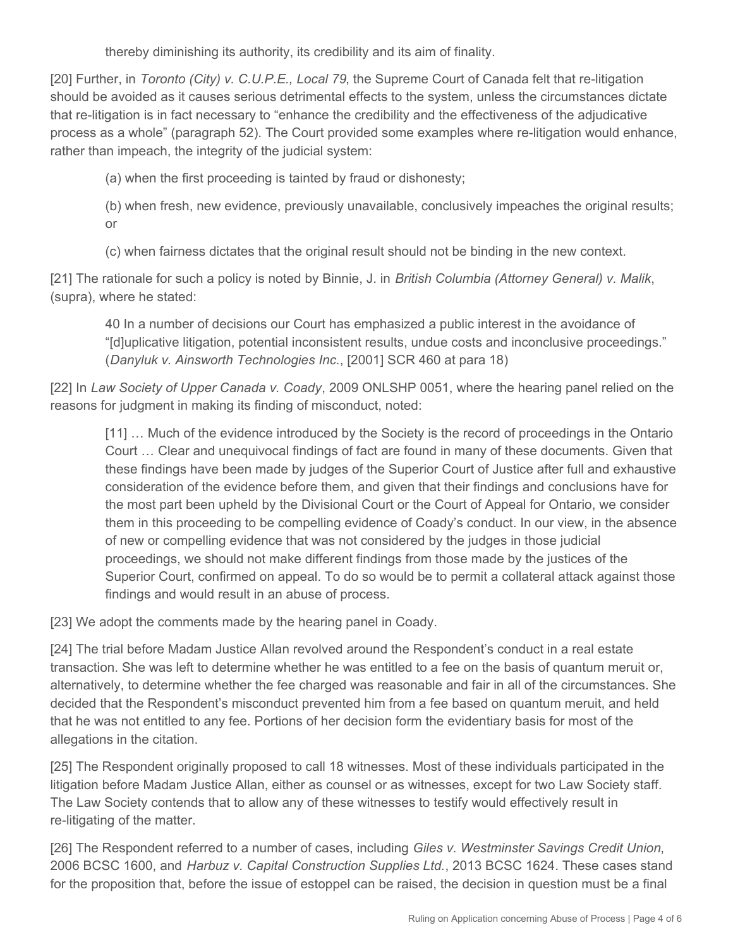thereby diminishing its authority, its credibility and its aim of finality.

[20] Further, in *Toronto (City) v. C.U.P.E., Local 79*, the Supreme Court of Canada felt that re-litigation should be avoided as it causes serious detrimental effects to the system, unless the circumstances dictate that re-litigation is in fact necessary to "enhance the credibility and the effectiveness of the adjudicative process as a whole" (paragraph 52). The Court provided some examples where re-litigation would enhance, rather than impeach, the integrity of the judicial system:

(a) when the first proceeding is tainted by fraud or dishonesty;

(b) when fresh, new evidence, previously unavailable, conclusively impeaches the original results; or

(c) when fairness dictates that the original result should not be binding in the new context.

[21] The rationale for such a policy is noted by Binnie, J. in *British Columbia (Attorney General) v. Malik*, (supra), where he stated:

40 In a number of decisions our Court has emphasized a public interest in the avoidance of "[d]uplicative litigation, potential inconsistent results, undue costs and inconclusive proceedings." (*Danyluk v. Ainsworth Technologies Inc.*, [2001] SCR 460 at para 18)

[22] In *Law Society of Upper Canada v. Coady*, 2009 ONLSHP 0051, where the hearing panel relied on the reasons for judgment in making its finding of misconduct, noted:

[11] ... Much of the evidence introduced by the Society is the record of proceedings in the Ontario Court … Clear and unequivocal findings of fact are found in many of these documents. Given that these findings have been made by judges of the Superior Court of Justice after full and exhaustive consideration of the evidence before them, and given that their findings and conclusions have for the most part been upheld by the Divisional Court or the Court of Appeal for Ontario, we consider them in this proceeding to be compelling evidence of Coady's conduct. In our view, in the absence of new or compelling evidence that was not considered by the judges in those judicial proceedings, we should not make different findings from those made by the justices of the Superior Court, confirmed on appeal. To do so would be to permit a collateral attack against those findings and would result in an abuse of process.

[23] We adopt the comments made by the hearing panel in Coady.

[24] The trial before Madam Justice Allan revolved around the Respondent's conduct in a real estate transaction. She was left to determine whether he was entitled to a fee on the basis of quantum meruit or, alternatively, to determine whether the fee charged was reasonable and fair in all of the circumstances. She decided that the Respondent's misconduct prevented him from a fee based on quantum meruit, and held that he was not entitled to any fee. Portions of her decision form the evidentiary basis for most of the allegations in the citation.

[25] The Respondent originally proposed to call 18 witnesses. Most of these individuals participated in the litigation before Madam Justice Allan, either as counsel or as witnesses, except for two Law Society staff. The Law Society contends that to allow any of these witnesses to testify would effectively result in re-litigating of the matter.

[26] The Respondent referred to a number of cases, including *Giles v. Westminster Savings Credit Union*, 2006 BCSC 1600, and *Harbuz v. Capital Construction Supplies Ltd.*, 2013 BCSC 1624. These cases stand for the proposition that, before the issue of estoppel can be raised, the decision in question must be a final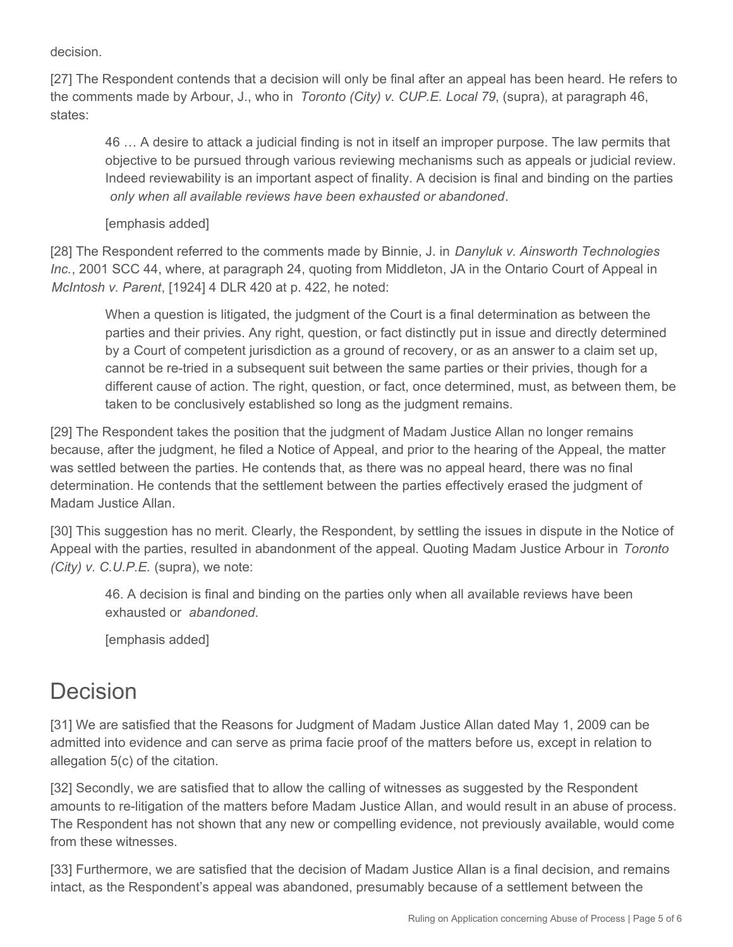decision.

[27] The Respondent contends that a decision will only be final after an appeal has been heard. He refers to the comments made by Arbour, J., who in *Toronto (City) v. CUP.E. Local 79*, (supra), at paragraph 46, states:

46 … A desire to attack a judicial finding is not in itself an improper purpose. The law permits that objective to be pursued through various reviewing mechanisms such as appeals or judicial review. Indeed reviewability is an important aspect of finality. A decision is final and binding on the parties *only when all available reviews have been exhausted or abandoned*.

[emphasis added]

[28] The Respondent referred to the comments made by Binnie, J. in *Danyluk v. Ainsworth Technologies Inc.*, 2001 SCC 44, where, at paragraph 24, quoting from Middleton, JA in the Ontario Court of Appeal in *McIntosh v. Parent*, [1924] 4 DLR 420 at p. 422, he noted:

When a question is litigated, the judgment of the Court is a final determination as between the parties and their privies. Any right, question, or fact distinctly put in issue and directly determined by a Court of competent jurisdiction as a ground of recovery, or as an answer to a claim set up, cannot be re-tried in a subsequent suit between the same parties or their privies, though for a different cause of action. The right, question, or fact, once determined, must, as between them, be taken to be conclusively established so long as the judgment remains.

[29] The Respondent takes the position that the judgment of Madam Justice Allan no longer remains because, after the judgment, he filed a Notice of Appeal, and prior to the hearing of the Appeal, the matter was settled between the parties. He contends that, as there was no appeal heard, there was no final determination. He contends that the settlement between the parties effectively erased the judgment of Madam Justice Allan.

[30] This suggestion has no merit. Clearly, the Respondent, by settling the issues in dispute in the Notice of Appeal with the parties, resulted in abandonment of the appeal. Quoting Madam Justice Arbour in *Toronto (City) v. C.U.P.E.* (supra), we note:

46. A decision is final and binding on the parties only when all available reviews have been exhausted or *abandoned*.

[emphasis added]

## Decision

[31] We are satisfied that the Reasons for Judgment of Madam Justice Allan dated May 1, 2009 can be admitted into evidence and can serve as prima facie proof of the matters before us, except in relation to allegation 5(c) of the citation.

[32] Secondly, we are satisfied that to allow the calling of witnesses as suggested by the Respondent amounts to re-litigation of the matters before Madam Justice Allan, and would result in an abuse of process. The Respondent has not shown that any new or compelling evidence, not previously available, would come from these witnesses.

[33] Furthermore, we are satisfied that the decision of Madam Justice Allan is a final decision, and remains intact, as the Respondent's appeal was abandoned, presumably because of a settlement between the